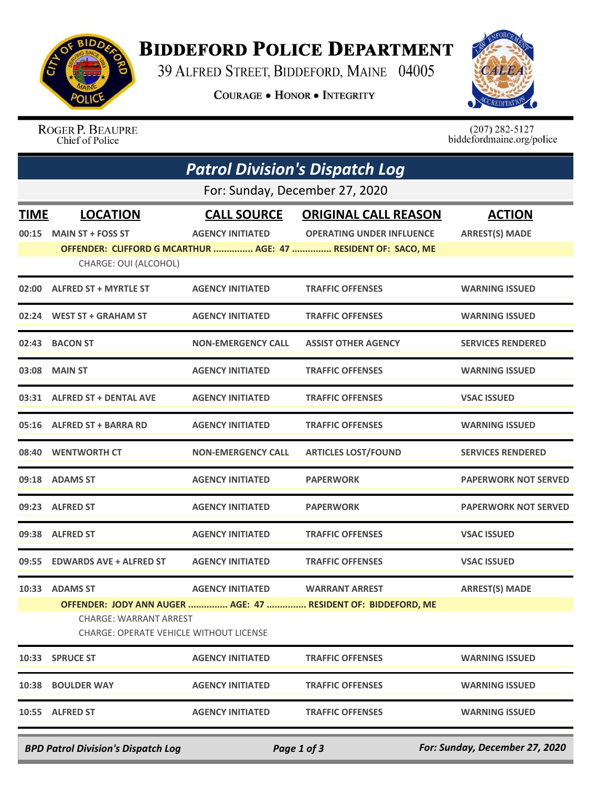

## **BIDDEFORD POLICE DEPARTMENT**

39 ALFRED STREET, BIDDEFORD, MAINE 04005

**COURAGE . HONOR . INTEGRITY** 



ROGER P. BEAUPRE Chief of Police

 $(207)$  282-5127<br>biddefordmaine.org/police

|             | <b>Patrol Division's Dispatch Log</b>                                           |                           |                                                               |                                |  |  |  |  |
|-------------|---------------------------------------------------------------------------------|---------------------------|---------------------------------------------------------------|--------------------------------|--|--|--|--|
|             | For: Sunday, December 27, 2020                                                  |                           |                                                               |                                |  |  |  |  |
| <b>TIME</b> | <b>LOCATION</b>                                                                 | <b>CALL SOURCE</b>        | <b>ORIGINAL CALL REASON</b>                                   | <b>ACTION</b>                  |  |  |  |  |
| 00:15       | <b>MAIN ST + FOSS ST</b>                                                        | <b>AGENCY INITIATED</b>   | <b>OPERATING UNDER INFLUENCE</b>                              | <b>ARREST(S) MADE</b>          |  |  |  |  |
|             |                                                                                 |                           | OFFENDER: CLIFFORD G MCARTHUR  AGE: 47  RESIDENT OF: SACO, ME |                                |  |  |  |  |
|             | CHARGE: OUI (ALCOHOL)                                                           |                           |                                                               |                                |  |  |  |  |
| 02:00       | <b>ALFRED ST + MYRTLE ST</b>                                                    | <b>AGENCY INITIATED</b>   | <b>TRAFFIC OFFENSES</b>                                       | <b>WARNING ISSUED</b>          |  |  |  |  |
| 02:24       | <b>WEST ST + GRAHAM ST</b>                                                      | <b>AGENCY INITIATED</b>   | <b>TRAFFIC OFFENSES</b>                                       | <b>WARNING ISSUED</b>          |  |  |  |  |
| 02:43       | <b>BACON ST</b>                                                                 | <b>NON-EMERGENCY CALL</b> | <b>ASSIST OTHER AGENCY</b>                                    | <b>SERVICES RENDERED</b>       |  |  |  |  |
| 03:08       | <b>MAIN ST</b>                                                                  | <b>AGENCY INITIATED</b>   | <b>TRAFFIC OFFENSES</b>                                       | <b>WARNING ISSUED</b>          |  |  |  |  |
| 03:31       | <b>ALFRED ST + DENTAL AVE</b>                                                   | <b>AGENCY INITIATED</b>   | <b>TRAFFIC OFFENSES</b>                                       | <b>VSAC ISSUED</b>             |  |  |  |  |
|             | 05:16 ALFRED ST + BARRA RD                                                      | <b>AGENCY INITIATED</b>   | <b>TRAFFIC OFFENSES</b>                                       | <b>WARNING ISSUED</b>          |  |  |  |  |
| 08:40       | <b>WENTWORTH CT</b>                                                             | <b>NON-EMERGENCY CALL</b> | <b>ARTICLES LOST/FOUND</b>                                    | <b>SERVICES RENDERED</b>       |  |  |  |  |
| 09:18       | <b>ADAMS ST</b>                                                                 | <b>AGENCY INITIATED</b>   | <b>PAPERWORK</b>                                              | <b>PAPERWORK NOT SERVED</b>    |  |  |  |  |
| 09:23       | <b>ALFRED ST</b>                                                                | <b>AGENCY INITIATED</b>   | <b>PAPERWORK</b>                                              | <b>PAPERWORK NOT SERVED</b>    |  |  |  |  |
| 09:38       | <b>ALFRED ST</b>                                                                | <b>AGENCY INITIATED</b>   | <b>TRAFFIC OFFENSES</b>                                       | <b>VSAC ISSUED</b>             |  |  |  |  |
| 09:55       | <b>EDWARDS AVE + ALFRED ST</b>                                                  | <b>AGENCY INITIATED</b>   | <b>TRAFFIC OFFENSES</b>                                       | <b>VSAC ISSUED</b>             |  |  |  |  |
|             | 10:33 ADAMS ST                                                                  | <b>AGENCY INITIATED</b>   | <b>WARRANT ARREST</b>                                         | <b>ARREST(S) MADE</b>          |  |  |  |  |
|             |                                                                                 |                           | OFFENDER: JODY ANN AUGER  AGE: 47  RESIDENT OF: BIDDEFORD, ME |                                |  |  |  |  |
|             | <b>CHARGE: WARRANT ARREST</b><br><b>CHARGE: OPERATE VEHICLE WITHOUT LICENSE</b> |                           |                                                               |                                |  |  |  |  |
|             | 10:33 SPRUCE ST                                                                 | <b>AGENCY INITIATED</b>   | <b>TRAFFIC OFFENSES</b>                                       | <b>WARNING ISSUED</b>          |  |  |  |  |
| 10:38       | <b>BOULDER WAY</b>                                                              | <b>AGENCY INITIATED</b>   | <b>TRAFFIC OFFENSES</b>                                       | <b>WARNING ISSUED</b>          |  |  |  |  |
|             | 10:55 ALFRED ST                                                                 | <b>AGENCY INITIATED</b>   | <b>TRAFFIC OFFENSES</b>                                       | <b>WARNING ISSUED</b>          |  |  |  |  |
|             | <b>BPD Patrol Division's Dispatch Log</b>                                       |                           | Page 1 of 3                                                   | For: Sunday, December 27, 2020 |  |  |  |  |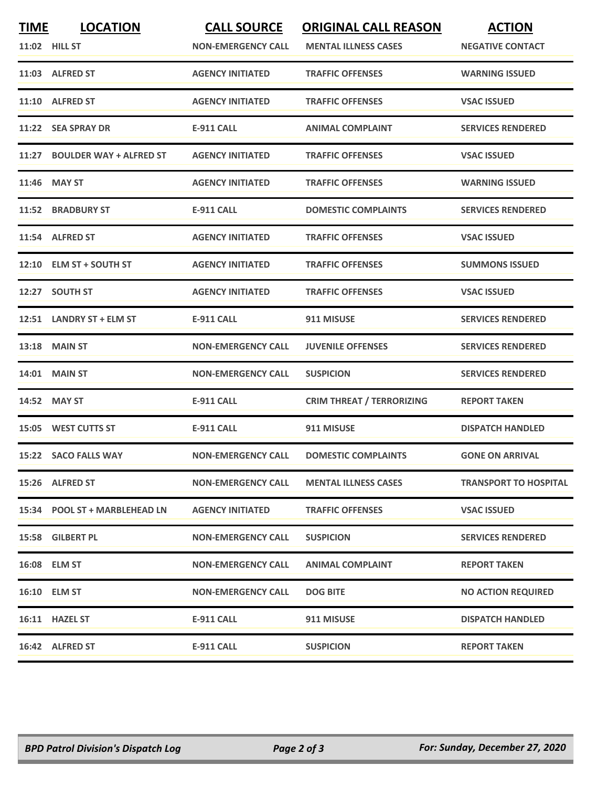| <b>TIME</b> | <b>LOCATION</b><br><b>11:02 HILL ST</b> | <b>CALL SOURCE</b><br><b>NON-EMERGENCY CALL</b> | <b>ORIGINAL CALL REASON</b><br><b>MENTAL ILLNESS CASES</b> | <b>ACTION</b><br><b>NEGATIVE CONTACT</b> |
|-------------|-----------------------------------------|-------------------------------------------------|------------------------------------------------------------|------------------------------------------|
|             | 11:03 ALFRED ST                         | <b>AGENCY INITIATED</b>                         | <b>TRAFFIC OFFENSES</b>                                    | <b>WARNING ISSUED</b>                    |
|             | 11:10 ALFRED ST                         | <b>AGENCY INITIATED</b>                         | <b>TRAFFIC OFFENSES</b>                                    | <b>VSAC ISSUED</b>                       |
|             | 11:22 SEA SPRAY DR                      | <b>E-911 CALL</b>                               | <b>ANIMAL COMPLAINT</b>                                    | <b>SERVICES RENDERED</b>                 |
|             | 11:27 BOULDER WAY + ALFRED ST           | <b>AGENCY INITIATED</b>                         | <b>TRAFFIC OFFENSES</b>                                    | <b>VSAC ISSUED</b>                       |
|             | 11:46 MAY ST                            | <b>AGENCY INITIATED</b>                         | <b>TRAFFIC OFFENSES</b>                                    | <b>WARNING ISSUED</b>                    |
|             | 11:52 BRADBURY ST                       | <b>E-911 CALL</b>                               | <b>DOMESTIC COMPLAINTS</b>                                 | <b>SERVICES RENDERED</b>                 |
|             | 11:54 ALFRED ST                         | <b>AGENCY INITIATED</b>                         | <b>TRAFFIC OFFENSES</b>                                    | <b>VSAC ISSUED</b>                       |
|             | 12:10 ELM ST + SOUTH ST                 | <b>AGENCY INITIATED</b>                         | <b>TRAFFIC OFFENSES</b>                                    | <b>SUMMONS ISSUED</b>                    |
|             | 12:27 SOUTH ST                          | <b>AGENCY INITIATED</b>                         | <b>TRAFFIC OFFENSES</b>                                    | <b>VSAC ISSUED</b>                       |
|             | 12:51 LANDRY ST + ELM ST                | <b>E-911 CALL</b>                               | 911 MISUSE                                                 | <b>SERVICES RENDERED</b>                 |
|             | <b>13:18 MAIN ST</b>                    | <b>NON-EMERGENCY CALL</b>                       | <b>JUVENILE OFFENSES</b>                                   | <b>SERVICES RENDERED</b>                 |
|             | 14:01 MAIN ST                           | <b>NON-EMERGENCY CALL</b>                       | <b>SUSPICION</b>                                           | <b>SERVICES RENDERED</b>                 |
|             | 14:52 MAY ST                            | <b>E-911 CALL</b>                               | <b>CRIM THREAT / TERRORIZING</b>                           | <b>REPORT TAKEN</b>                      |
|             | 15:05 WEST CUTTS ST                     | <b>E-911 CALL</b>                               | 911 MISUSE                                                 | <b>DISPATCH HANDLED</b>                  |
|             | 15:22 SACO FALLS WAY                    | <b>NON-EMERGENCY CALL</b>                       | <b>DOMESTIC COMPLAINTS</b>                                 | <b>GONE ON ARRIVAL</b>                   |
|             | 15:26 ALFRED ST                         | <b>NON-EMERGENCY CALL</b>                       | <b>MENTAL ILLNESS CASES</b>                                | <b>TRANSPORT TO HOSPITAL</b>             |
|             | 15:34 POOL ST + MARBLEHEAD LN           | <b>AGENCY INITIATED</b>                         | <b>TRAFFIC OFFENSES</b>                                    | <b>VSAC ISSUED</b>                       |
|             | 15:58 GILBERT PL                        | <b>NON-EMERGENCY CALL</b>                       | <b>SUSPICION</b>                                           | <b>SERVICES RENDERED</b>                 |
|             | 16:08 ELM ST                            | <b>NON-EMERGENCY CALL</b>                       | <b>ANIMAL COMPLAINT</b>                                    | <b>REPORT TAKEN</b>                      |
|             | 16:10 ELM ST                            | <b>NON-EMERGENCY CALL</b>                       | <b>DOG BITE</b>                                            | <b>NO ACTION REQUIRED</b>                |
|             | 16:11 HAZEL ST                          | <b>E-911 CALL</b>                               | 911 MISUSE                                                 | <b>DISPATCH HANDLED</b>                  |
|             | 16:42 ALFRED ST                         | <b>E-911 CALL</b>                               | <b>SUSPICION</b>                                           | <b>REPORT TAKEN</b>                      |